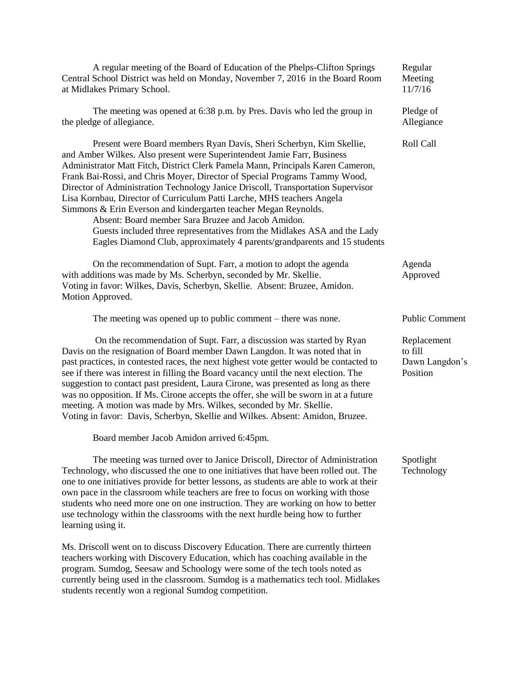| A regular meeting of the Board of Education of the Phelps-Clifton Springs<br>Central School District was held on Monday, November 7, 2016 in the Board Room<br>at Midlakes Primary School.                                                                                                                                                                                                                                                                                                                                                                                                                                                                                                                                                                      | Regular<br>Meeting<br>11/7/16                        |
|-----------------------------------------------------------------------------------------------------------------------------------------------------------------------------------------------------------------------------------------------------------------------------------------------------------------------------------------------------------------------------------------------------------------------------------------------------------------------------------------------------------------------------------------------------------------------------------------------------------------------------------------------------------------------------------------------------------------------------------------------------------------|------------------------------------------------------|
| The meeting was opened at 6:38 p.m. by Pres. Davis who led the group in<br>the pledge of allegiance.                                                                                                                                                                                                                                                                                                                                                                                                                                                                                                                                                                                                                                                            | Pledge of<br>Allegiance                              |
| Present were Board members Ryan Davis, Sheri Scherbyn, Kim Skellie,<br>and Amber Wilkes. Also present were Superintendent Jamie Farr, Business<br>Administrator Matt Fitch, District Clerk Pamela Mann, Principals Karen Cameron,<br>Frank Bai-Rossi, and Chris Moyer, Director of Special Programs Tammy Wood,<br>Director of Administration Technology Janice Driscoll, Transportation Supervisor<br>Lisa Kornbau, Director of Curriculum Patti Larche, MHS teachers Angela<br>Simmons & Erin Everson and kindergarten teacher Megan Reynolds.<br>Absent: Board member Sara Bruzee and Jacob Amidon.<br>Guests included three representatives from the Midlakes ASA and the Lady<br>Eagles Diamond Club, approximately 4 parents/grandparents and 15 students | Roll Call                                            |
| On the recommendation of Supt. Farr, a motion to adopt the agenda<br>with additions was made by Ms. Scherbyn, seconded by Mr. Skellie.<br>Voting in favor: Wilkes, Davis, Scherbyn, Skellie. Absent: Bruzee, Amidon.<br>Motion Approved.                                                                                                                                                                                                                                                                                                                                                                                                                                                                                                                        | Agenda<br>Approved                                   |
| The meeting was opened up to public comment $-$ there was none.                                                                                                                                                                                                                                                                                                                                                                                                                                                                                                                                                                                                                                                                                                 | <b>Public Comment</b>                                |
| On the recommendation of Supt. Farr, a discussion was started by Ryan<br>Davis on the resignation of Board member Dawn Langdon. It was noted that in<br>past practices, in contested races, the next highest vote getter would be contacted to<br>see if there was interest in filling the Board vacancy until the next election. The<br>suggestion to contact past president, Laura Cirone, was presented as long as there<br>was no opposition. If Ms. Cirone accepts the offer, she will be sworn in at a future<br>meeting. A motion was made by Mrs. Wilkes, seconded by Mr. Skellie.<br>Voting in favor: Davis, Scherbyn, Skellie and Wilkes. Absent: Amidon, Bruzee.                                                                                     | Replacement<br>to fill<br>Dawn Langdon's<br>Position |
| Board member Jacob Amidon arrived 6:45pm.                                                                                                                                                                                                                                                                                                                                                                                                                                                                                                                                                                                                                                                                                                                       |                                                      |
| The meeting was turned over to Janice Driscoll, Director of Administration<br>Technology, who discussed the one to one initiatives that have been rolled out. The<br>one to one initiatives provide for better lessons, as students are able to work at their<br>own pace in the classroom while teachers are free to focus on working with those<br>students who need more one on one instruction. They are working on how to better                                                                                                                                                                                                                                                                                                                           | Spotlight<br>Technology                              |

Ms. Driscoll went on to discuss Discovery Education. There are currently thirteen teachers working with Discovery Education, which has coaching available in the program. Sumdog, Seesaw and Schoology were some of the tech tools noted as currently being used in the classroom. Sumdog is a mathematics tech tool. Midlakes students recently won a regional Sumdog competition.

use technology within the classrooms with the next hurdle being how to further

learning using it.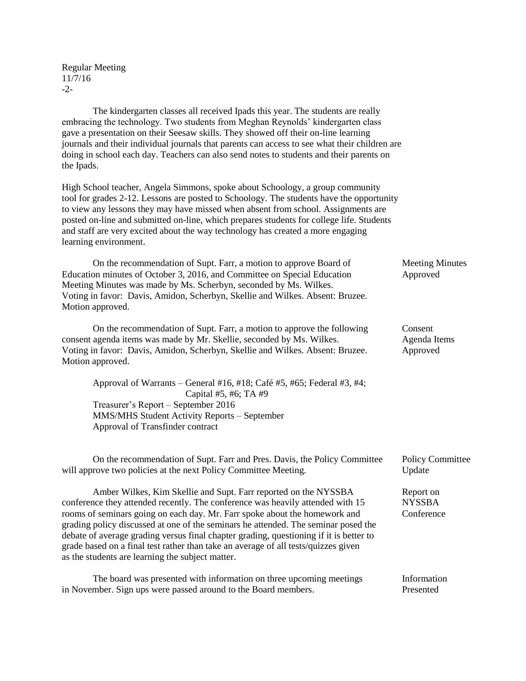Regular Meeting 11/7/16  $-2$ 

The kindergarten classes all received Ipads this year. The students are really embracing the technology. Two students from Meghan Reynolds' kindergarten class gave a presentation on their Seesaw skills. They showed off their on-line learning journals and their individual journals that parents can access to see what their children are doing in school each day. Teachers can also send notes to students and their parents on the Ipads.

High School teacher, Angela Simmons, spoke about Schoology, a group community tool for grades 2-12. Lessons are posted to Schoology. The students have the opportunity to view any lessons they may have missed when absent from school. Assignments are posted on-line and submitted on-line, which prepares students for college life. Students and staff are very excited about the way technology has created a more engaging learning environment.

On the recommendation of Supt. Farr, a motion to approve Board of Meeting Minutes Education minutes of October 3, 2016, and Committee on Special Education Approved Meeting Minutes was made by Ms. Scherbyn, seconded by Ms. Wilkes. Voting in favor: Davis, Amidon, Scherbyn, Skellie and Wilkes. Absent: Bruzee. Motion approved.

On the recommendation of Supt. Farr, a motion to approve the following Consent consent agenda items was made by Mr. Skellie, seconded by Ms. Wilkes. Agenda Items Voting in favor: Davis, Amidon, Scherbyn, Skellie and Wilkes. Absent: Bruzee. Approved Motion approved.

Approval of Warrants – General #16, #18; Café #5, #65; Federal #3, #4; Capital #5, #6; TA #9 Treasurer's Report – September 2016 MMS/MHS Student Activity Reports – September Approval of Transfinder contract

On the recommendation of Supt. Farr and Pres. Davis, the Policy Committee Policy Committee will approve two policies at the next Policy Committee Meeting. Update

Amber Wilkes, Kim Skellie and Supt. Farr reported on the NYSSBA Report on conference they attended recently. The conference was heavily attended with 15 NYSSBA rooms of seminars going on each day. Mr. Farr spoke about the homework and Conference grading policy discussed at one of the seminars he attended. The seminar posed the debate of average grading versus final chapter grading, questioning if it is better to grade based on a final test rather than take an average of all tests/quizzes given as the students are learning the subject matter.

The board was presented with information on three upcoming meetings Information in November. Sign ups were passed around to the Board members. Presented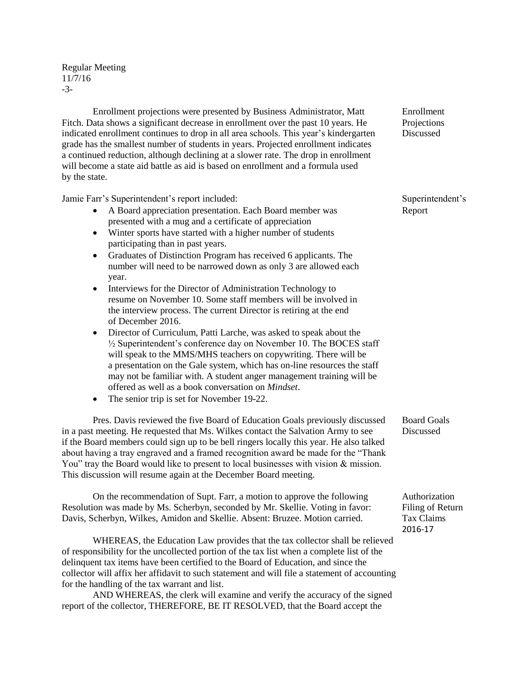Regular Meeting 11/7/16 -3-

Enrollment projections were presented by Business Administrator, Matt Enrollment Fitch. Data shows a significant decrease in enrollment over the past 10 years. He Projections indicated enrollment continues to drop in all area schools. This year's kindergarten Discussed grade has the smallest number of students in years. Projected enrollment indicates a continued reduction, although declining at a slower rate. The drop in enrollment will become a state aid battle as aid is based on enrollment and a formula used by the state.

Jamie Farr's Superintendent's report included: Superintendent's

- A Board appreciation presentation. Each Board member was Report presented with a mug and a certificate of appreciation
- Winter sports have started with a higher number of students participating than in past years.
- Graduates of Distinction Program has received 6 applicants. The number will need to be narrowed down as only 3 are allowed each year.
- Interviews for the Director of Administration Technology to resume on November 10. Some staff members will be involved in the interview process. The current Director is retiring at the end of December 2016.
- Director of Curriculum, Patti Larche, was asked to speak about the ½ Superintendent's conference day on November 10. The BOCES staff will speak to the MMS/MHS teachers on copywriting. There will be a presentation on the Gale system, which has on-line resources the staff may not be familiar with. A student anger management training will be offered as well as a book conversation on *Mindset*.
- The senior trip is set for November 19-22.

Pres. Davis reviewed the five Board of Education Goals previously discussed Board Goals in a past meeting. He requested that Ms. Wilkes contact the Salvation Army to see Discussed if the Board members could sign up to be bell ringers locally this year. He also talked about having a tray engraved and a framed recognition award be made for the "Thank You" tray the Board would like to present to local businesses with vision & mission. This discussion will resume again at the December Board meeting.

On the recommendation of Supt. Farr, a motion to approve the following Authorization Resolution was made by Ms. Scherbyn, seconded by Mr. Skellie. Voting in favor: Filing of Return Davis, Scherbyn, Wilkes, Amidon and Skellie. Absent: Bruzee. Motion carried. Tax Claims

WHEREAS, the Education Law provides that the tax collector shall be relieved of responsibility for the uncollected portion of the tax list when a complete list of the delinquent tax items have been certified to the Board of Education, and since the collector will affix her affidavit to such statement and will file a statement of accounting for the handling of the tax warrant and list.

AND WHEREAS, the clerk will examine and verify the accuracy of the signed report of the collector, THEREFORE, BE IT RESOLVED, that the Board accept the

2016-17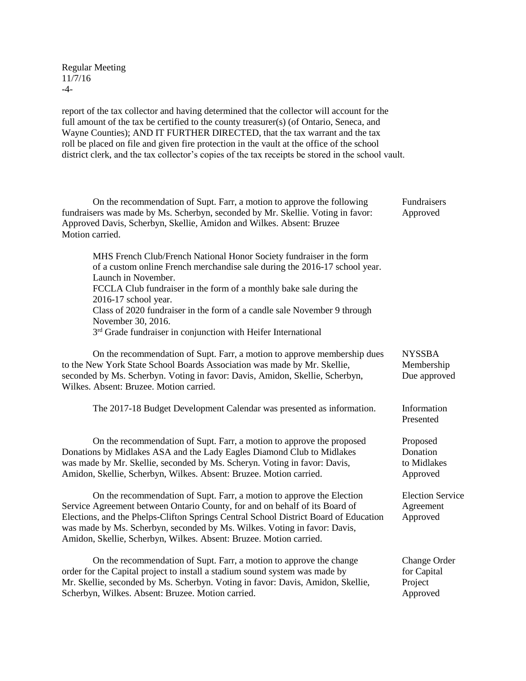Regular Meeting 11/7/16 -4-

report of the tax collector and having determined that the collector will account for the full amount of the tax be certified to the county treasurer(s) (of Ontario, Seneca, and Wayne Counties); AND IT FURTHER DIRECTED, that the tax warrant and the tax roll be placed on file and given fire protection in the vault at the office of the school district clerk, and the tax collector's copies of the tax receipts be stored in the school vault.

| On the recommendation of Supt. Farr, a motion to approve the following<br>fundraisers was made by Ms. Scherbyn, seconded by Mr. Skellie. Voting in favor:<br>Approved Davis, Scherbyn, Skellie, Amidon and Wilkes. Absent: Bruzee<br>Motion carried.                                                                                                                                                                                                    | Fundraisers<br>Approved                            |
|---------------------------------------------------------------------------------------------------------------------------------------------------------------------------------------------------------------------------------------------------------------------------------------------------------------------------------------------------------------------------------------------------------------------------------------------------------|----------------------------------------------------|
| MHS French Club/French National Honor Society fundraiser in the form<br>of a custom online French merchandise sale during the 2016-17 school year.<br>Launch in November.<br>FCCLA Club fundraiser in the form of a monthly bake sale during the<br>2016-17 school year.<br>Class of 2020 fundraiser in the form of a candle sale November 9 through<br>November 30, 2016.<br>3 <sup>rd</sup> Grade fundraiser in conjunction with Heifer International |                                                    |
| On the recommendation of Supt. Farr, a motion to approve membership dues<br>to the New York State School Boards Association was made by Mr. Skellie,<br>seconded by Ms. Scherbyn. Voting in favor: Davis, Amidon, Skellie, Scherbyn,<br>Wilkes. Absent: Bruzee. Motion carried.                                                                                                                                                                         | <b>NYSSBA</b><br>Membership<br>Due approved        |
| The 2017-18 Budget Development Calendar was presented as information.                                                                                                                                                                                                                                                                                                                                                                                   | Information<br>Presented                           |
| On the recommendation of Supt. Farr, a motion to approve the proposed<br>Donations by Midlakes ASA and the Lady Eagles Diamond Club to Midlakes<br>was made by Mr. Skellie, seconded by Ms. Scheryn. Voting in favor: Davis,<br>Amidon, Skellie, Scherbyn, Wilkes. Absent: Bruzee. Motion carried.                                                                                                                                                      | Proposed<br>Donation<br>to Midlakes<br>Approved    |
| On the recommendation of Supt. Farr, a motion to approve the Election<br>Service Agreement between Ontario County, for and on behalf of its Board of<br>Elections, and the Phelps-Clifton Springs Central School District Board of Education<br>was made by Ms. Scherbyn, seconded by Ms. Wilkes. Voting in favor: Davis,<br>Amidon, Skellie, Scherbyn, Wilkes. Absent: Bruzee. Motion carried.                                                         | <b>Election Service</b><br>Agreement<br>Approved   |
| On the recommendation of Supt. Farr, a motion to approve the change<br>order for the Capital project to install a stadium sound system was made by<br>Mr. Skellie, seconded by Ms. Scherbyn. Voting in favor: Davis, Amidon, Skellie,<br>Scherbyn, Wilkes. Absent: Bruzee. Motion carried.                                                                                                                                                              | Change Order<br>for Capital<br>Project<br>Approved |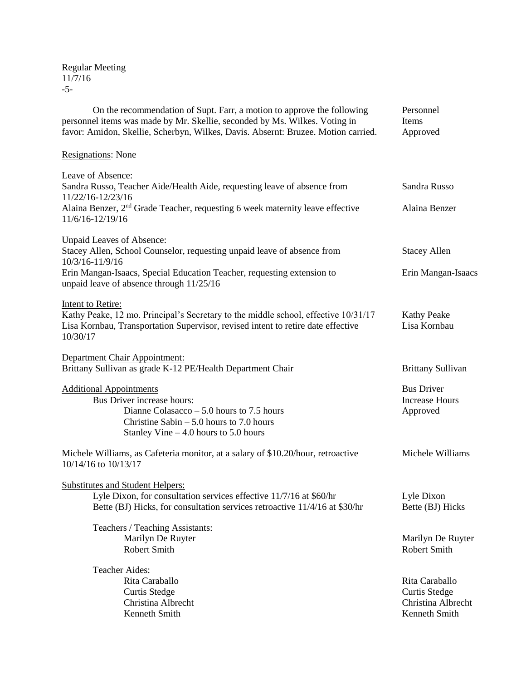Regular Meeting 11/7/16 -5-

| On the recommendation of Supt. Farr, a motion to approve the following<br>personnel items was made by Mr. Skellie, seconded by Ms. Wilkes. Voting in<br>favor: Amidon, Skellie, Scherbyn, Wilkes, Davis. Absernt: Bruzee. Motion carried. | Personnel<br>Items<br>Approved                         |
|-------------------------------------------------------------------------------------------------------------------------------------------------------------------------------------------------------------------------------------------|--------------------------------------------------------|
| <b>Resignations:</b> None                                                                                                                                                                                                                 |                                                        |
| Leave of Absence:<br>Sandra Russo, Teacher Aide/Health Aide, requesting leave of absence from<br>11/22/16-12/23/16                                                                                                                        | Sandra Russo                                           |
| Alaina Benzer, 2 <sup>nd</sup> Grade Teacher, requesting 6 week maternity leave effective<br>11/6/16-12/19/16                                                                                                                             | Alaina Benzer                                          |
| <b>Unpaid Leaves of Absence:</b>                                                                                                                                                                                                          |                                                        |
| Stacey Allen, School Counselor, requesting unpaid leave of absence from<br>10/3/16-11/9/16                                                                                                                                                | <b>Stacey Allen</b>                                    |
| Erin Mangan-Isaacs, Special Education Teacher, requesting extension to<br>unpaid leave of absence through 11/25/16                                                                                                                        | Erin Mangan-Isaacs                                     |
| <b>Intent to Retire:</b>                                                                                                                                                                                                                  |                                                        |
| Kathy Peake, 12 mo. Principal's Secretary to the middle school, effective 10/31/17<br>Lisa Kornbau, Transportation Supervisor, revised intent to retire date effective<br>10/30/17                                                        | <b>Kathy Peake</b><br>Lisa Kornbau                     |
| Department Chair Appointment:                                                                                                                                                                                                             |                                                        |
| Brittany Sullivan as grade K-12 PE/Health Department Chair                                                                                                                                                                                | <b>Brittany Sullivan</b>                               |
| <b>Additional Appointments</b><br>Bus Driver increase hours:<br>Dianne Colasacco $-5.0$ hours to 7.5 hours<br>Christine Sabin $-5.0$ hours to 7.0 hours<br>Stanley Vine $-4.0$ hours to 5.0 hours                                         | <b>Bus Driver</b><br><b>Increase Hours</b><br>Approved |
| Michele Williams, as Cafeteria monitor, at a salary of \$10.20/hour, retroactive<br>10/14/16 to 10/13/17                                                                                                                                  | Michele Williams                                       |
| <b>Substitutes and Student Helpers:</b>                                                                                                                                                                                                   |                                                        |
| Lyle Dixon, for consultation services effective 11/7/16 at \$60/hr                                                                                                                                                                        | Lyle Dixon                                             |
| Bette (BJ) Hicks, for consultation services retroactive 11/4/16 at \$30/hr                                                                                                                                                                | Bette (BJ) Hicks                                       |
| Teachers / Teaching Assistants:                                                                                                                                                                                                           |                                                        |
| Marilyn De Ruyter                                                                                                                                                                                                                         | Marilyn De Ruyter                                      |
| <b>Robert Smith</b>                                                                                                                                                                                                                       | <b>Robert Smith</b>                                    |
| <b>Teacher Aides:</b>                                                                                                                                                                                                                     |                                                        |
| Rita Caraballo                                                                                                                                                                                                                            | Rita Caraballo                                         |
| <b>Curtis Stedge</b>                                                                                                                                                                                                                      | <b>Curtis Stedge</b>                                   |
| Christina Albrecht                                                                                                                                                                                                                        | Christina Albrecht                                     |
| Kenneth Smith                                                                                                                                                                                                                             | Kenneth Smith                                          |
|                                                                                                                                                                                                                                           |                                                        |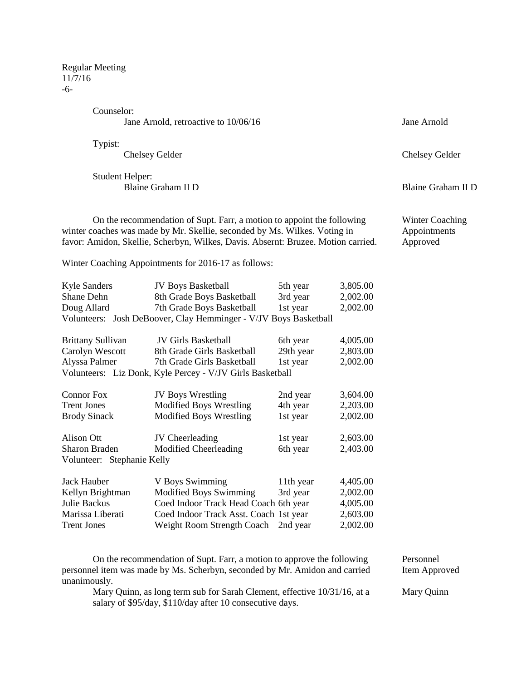Regular Meeting 11/7/16 -6-

Counselor:

Jane Arnold, retroactive to 10/06/16 Jane Arnold

Typist:

Student Helper: Blaine Graham II D Blaine Graham II D

On the recommendation of Supt. Farr, a motion to appoint the following Winter Coaching winter coaches was made by Mr. Skellie, seconded by Ms. Wilkes. Voting in Appointments favor: Amidon, Skellie, Scherbyn, Wilkes, Davis. Absernt: Bruzee. Motion carried. Approved

Winter Coaching Appointments for 2016-17 as follows:

| Kyle Sanders | <b>JV Boys Basketball</b><br>5th year                            | 3,805.00 |
|--------------|------------------------------------------------------------------|----------|
| Shane Dehn   | 8th Grade Boys Basketball<br>3rd year                            | 2,002.00 |
| Doug Allard  | 7th Grade Boys Basketball<br>1st year                            | 2,002.00 |
|              | Volunteers: Josh DeBoover, Clay Hemminger - V/JV Boys Basketball |          |

| <b>Brittany Sullivan</b>                                  | <b>JV Girls Basketball</b> | 6th year  | 4,005.00 |  |
|-----------------------------------------------------------|----------------------------|-----------|----------|--|
| Carolyn Wescott                                           | 8th Grade Girls Basketball | 29th year | 2,803.00 |  |
| Alyssa Palmer                                             | 7th Grade Girls Basketball | 1st year  | 2,002.00 |  |
| Volunteers: Liz Donk, Kyle Percey - V/JV Girls Basketball |                            |           |          |  |

| <b>Connor Fox</b>          | <b>JV Boys Wrestling</b>               | 2nd year  | 3,604.00 |
|----------------------------|----------------------------------------|-----------|----------|
| <b>Trent Jones</b>         | <b>Modified Boys Wrestling</b>         | 4th year  | 2,203.00 |
| <b>Brody Sinack</b>        | <b>Modified Boys Wrestling</b>         | 1st year  | 2,002.00 |
| Alison Ott                 | JV Cheerleading                        | 1st year  | 2,603.00 |
| Sharon Braden              | Modified Cheerleading                  | 6th year  | 2,403.00 |
| Volunteer: Stephanie Kelly |                                        |           |          |
| Jack Hauber                | V Boys Swimming                        | 11th year | 4,405.00 |
| Kellyn Brightman           | <b>Modified Boys Swimming</b>          | 3rd year  | 2,002.00 |
| Julie Backus               | Coed Indoor Track Head Coach 6th year  |           | 4,005.00 |
| Marissa Liberati           | Coed Indoor Track Asst. Coach 1st year |           | 2,603.00 |
| <b>Trent Jones</b>         | Weight Room Strength Coach             | 2nd vear  | 2,002.00 |

On the recommendation of Supt. Farr, a motion to approve the following Personnel personnel item was made by Ms. Scherbyn, seconded by Mr. Amidon and carried Item Approved unanimously.

Mary Quinn, as long term sub for Sarah Clement, effective 10/31/16, at a Mary Quinn salary of \$95/day, \$110/day after 10 consecutive days.

Chelsey Gelder Chelsey Gelder